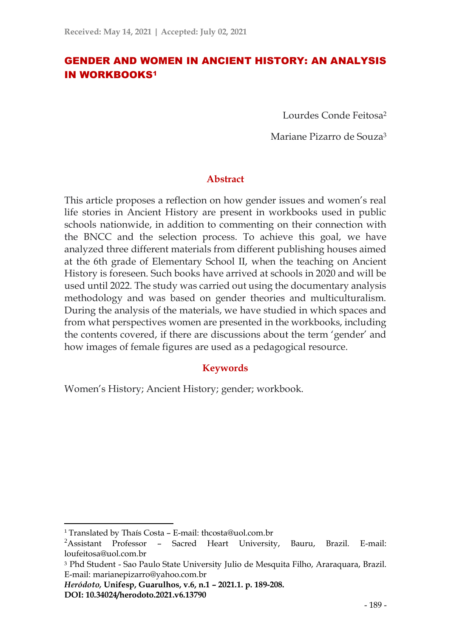# GENDER AND WOMEN IN ANCIENT HISTORY: AN ANALYSIS IN WORKBOOKS<sup>1</sup>

Lourdes Conde Feitosa<sup>2</sup>

Mariane Pizarro de Souza<sup>3</sup>

### **Abstract**

This article proposes a reflection on how gender issues and women's real life stories in Ancient History are present in workbooks used in public schools nationwide, in addition to commenting on their connection with the BNCC and the selection process. To achieve this goal, we have analyzed three different materials from different publishing houses aimed at the 6th grade of Elementary School II, when the teaching on Ancient History is foreseen. Such books have arrived at schools in 2020 and will be used until 2022. The study was carried out using the documentary analysis methodology and was based on gender theories and multiculturalism. During the analysis of the materials, we have studied in which spaces and from what perspectives women are presented in the workbooks, including the contents covered, if there are discussions about the term 'gender' and how images of female figures are used as a pedagogical resource.

### **Keywords**

Women's History; Ancient History; gender; workbook.

<sup>1</sup> Translated by Thaís Costa – E-mail: thcosta@uol.com.br

<sup>2</sup>Assistant Professor – Sacred Heart University, Bauru, Brazil. E-mail: loufeitosa@uol.com.br

<sup>3</sup> Phd Student - Sao Paulo State University Julio de Mesquita Filho, Araraquara, Brazil. E-mail: marianepizarro@yahoo.com.br

*Heródoto,* **Unifesp, Guarulhos, v.6, n.1 – 2021.1. p. 189-208. DOI: 10.34024/herodoto.2021.v6.13790**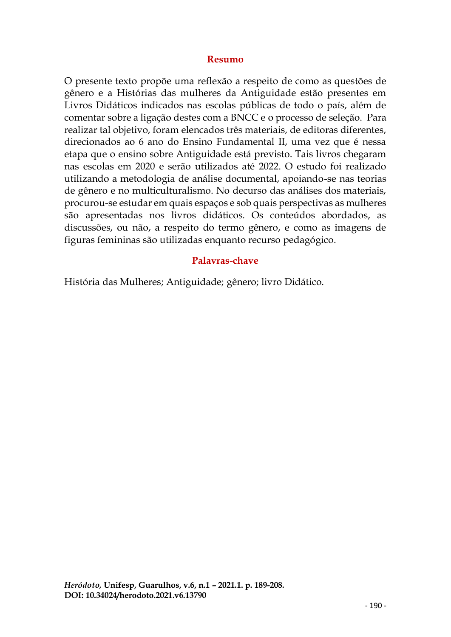### **Resumo**

O presente texto propõe uma reflexão a respeito de como as questões de gênero e a Histórias das mulheres da Antiguidade estão presentes em Livros Didáticos indicados nas escolas públicas de todo o país, além de comentar sobre a ligação destes com a BNCC e o processo de seleção. Para realizar tal objetivo, foram elencados três materiais, de editoras diferentes, direcionados ao 6 ano do Ensino Fundamental II, uma vez que é nessa etapa que o ensino sobre Antiguidade está previsto. Tais livros chegaram nas escolas em 2020 e serão utilizados até 2022. O estudo foi realizado utilizando a metodologia de análise documental, apoiando-se nas teorias de gênero e no multiculturalismo. No decurso das análises dos materiais, procurou-se estudar em quais espaços e sob quais perspectivas as mulheres são apresentadas nos livros didáticos. Os conteúdos abordados, as discussões, ou não, a respeito do termo gênero, e como as imagens de figuras femininas são utilizadas enquanto recurso pedagógico.

#### **Palavras-chave**

História das Mulheres; Antiguidade; gênero; livro Didático.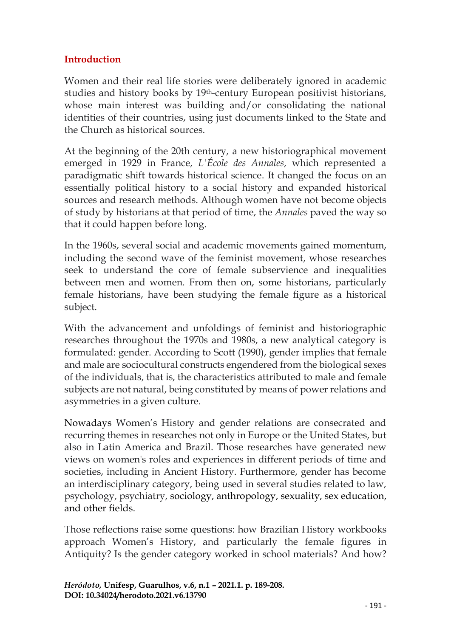# **Introduction**

Women and their real life stories were deliberately ignored in academic studies and history books by 19th-century European positivist historians, whose main interest was building and/or consolidating the national identities of their countries, using just documents linked to the State and the Church as historical sources.

At the beginning of the 20th century, a new historiographical movement emerged in 1929 in France, *L'École des Annales*, which represented a paradigmatic shift towards historical science. It changed the focus on an essentially political history to a social history and expanded historical sources and research methods. Although women have not become objects of study by historians at that period of time, the *Annales* paved the way so that it could happen before long.

In the 1960s, several social and academic movements gained momentum, including the second wave of the feminist movement, whose researches seek to understand the core of female subservience and inequalities between men and women. From then on, some historians, particularly female historians, have been studying the female figure as a historical subject.

With the advancement and unfoldings of feminist and historiographic researches throughout the 1970s and 1980s, a new analytical category is formulated: gender. According to Scott (1990), gender implies that female and male are sociocultural constructs engendered from the biological sexes of the individuals, that is, the characteristics attributed to male and female subjects are not natural, being constituted by means of power relations and asymmetries in a given culture.

Nowadays Women's History and gender relations are consecrated and recurring themes in researches not only in Europe or the United States, but also in Latin America and Brazil. Those researches have generated new views on women's roles and experiences in different periods of time and societies, including in Ancient History. Furthermore, gender has become an interdisciplinary category, being used in several studies related to law, psychology, psychiatry, sociology, anthropology, sexuality, sex education, and other fields.

Those reflections raise some questions: how Brazilian History workbooks approach Women's History, and particularly the female figures in Antiquity? Is the gender category worked in school materials? And how?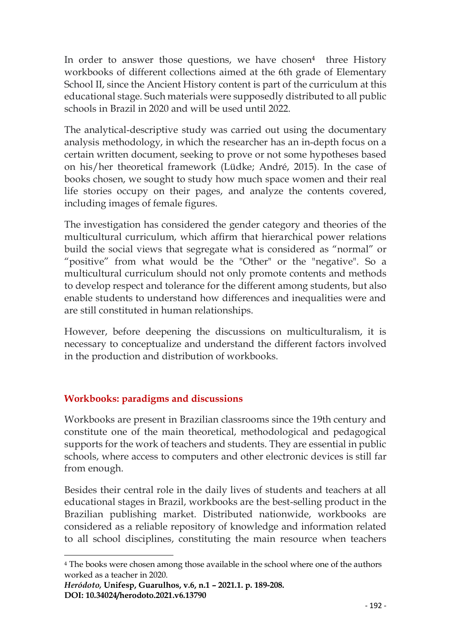In order to answer those questions, we have chosen<sup>4</sup> three History workbooks of different collections aimed at the 6th grade of Elementary School II, since the Ancient History content is part of the curriculum at this educational stage. Such materials were supposedly distributed to all public schools in Brazil in 2020 and will be used until 2022.

The analytical-descriptive study was carried out using the documentary analysis methodology, in which the researcher has an in-depth focus on a certain written document, seeking to prove or not some hypotheses based on his/her theoretical framework (Lüdke; André, 2015). In the case of books chosen, we sought to study how much space women and their real life stories occupy on their pages, and analyze the contents covered, including images of female figures.

The investigation has considered the gender category and theories of the multicultural curriculum, which affirm that hierarchical power relations build the social views that segregate what is considered as "normal" or "positive" from what would be the "Other" or the "negative". So a multicultural curriculum should not only promote contents and methods to develop respect and tolerance for the different among students, but also enable students to understand how differences and inequalities were and are still constituted in human relationships.

However, before deepening the discussions on multiculturalism, it is necessary to conceptualize and understand the different factors involved in the production and distribution of workbooks.

# **Workbooks: paradigms and discussions**

Workbooks are present in Brazilian classrooms since the 19th century and constitute one of the main theoretical, methodological and pedagogical supports for the work of teachers and students. They are essential in public schools, where access to computers and other electronic devices is still far from enough.

Besides their central role in the daily lives of students and teachers at all educational stages in Brazil, workbooks are the best-selling product in the Brazilian publishing market. Distributed nationwide, workbooks are considered as a reliable repository of knowledge and information related to all school disciplines, constituting the main resource when teachers

<sup>4</sup> The books were chosen among those available in the school where one of the authors worked as a teacher in 2020.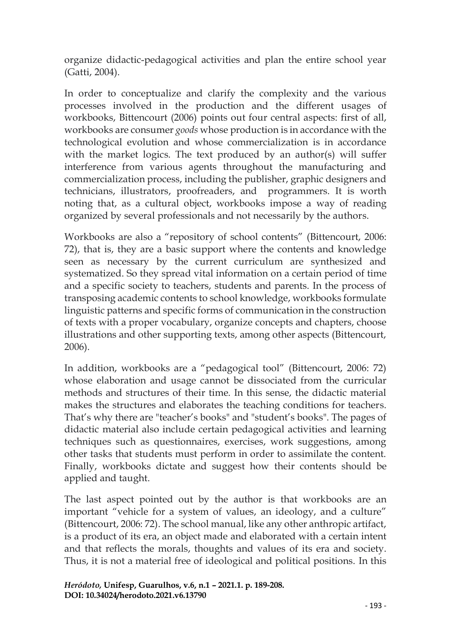organize didactic-pedagogical activities and plan the entire school year (Gatti, 2004).

In order to conceptualize and clarify the complexity and the various processes involved in the production and the different usages of workbooks, Bittencourt (2006) points out four central aspects: first of all, workbooks are consumer *goods* whose production is in accordance with the technological evolution and whose commercialization is in accordance with the market logics. The text produced by an author(s) will suffer interference from various agents throughout the manufacturing and commercialization process, including the publisher, graphic designers and technicians, illustrators, proofreaders, and programmers. It is worth noting that, as a cultural object, workbooks impose a way of reading organized by several professionals and not necessarily by the authors.

Workbooks are also a "repository of school contents" (Bittencourt, 2006: 72), that is, they are a basic support where the contents and knowledge seen as necessary by the current curriculum are synthesized and systematized. So they spread vital information on a certain period of time and a specific society to teachers, students and parents. In the process of transposing academic contents to school knowledge, workbooks formulate linguistic patterns and specific forms of communication in the construction of texts with a proper vocabulary, organize concepts and chapters, choose illustrations and other supporting texts, among other aspects (Bittencourt, 2006).

In addition, workbooks are a "pedagogical tool" (Bittencourt, 2006: 72) whose elaboration and usage cannot be dissociated from the curricular methods and structures of their time. In this sense, the didactic material makes the structures and elaborates the teaching conditions for teachers. That's why there are "teacher's books" and "student's books". The pages of didactic material also include certain pedagogical activities and learning techniques such as questionnaires, exercises, work suggestions, among other tasks that students must perform in order to assimilate the content. Finally, workbooks dictate and suggest how their contents should be applied and taught.

The last aspect pointed out by the author is that workbooks are an important "vehicle for a system of values, an ideology, and a culture" (Bittencourt, 2006: 72). The school manual, like any other anthropic artifact, is a product of its era, an object made and elaborated with a certain intent and that reflects the morals, thoughts and values of its era and society. Thus, it is not a material free of ideological and political positions. In this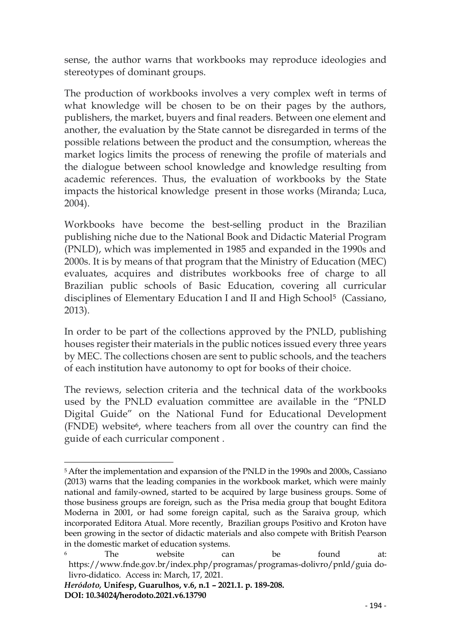sense, the author warns that workbooks may reproduce ideologies and stereotypes of dominant groups.

The production of workbooks involves a very complex weft in terms of what knowledge will be chosen to be on their pages by the authors, publishers, the market, buyers and final readers. Between one element and another, the evaluation by the State cannot be disregarded in terms of the possible relations between the product and the consumption, whereas the market logics limits the process of renewing the profile of materials and the dialogue between school knowledge and knowledge resulting from academic references. Thus, the evaluation of workbooks by the State impacts the historical knowledge present in those works (Miranda; Luca, 2004).

Workbooks have become the best-selling product in the Brazilian publishing niche due to the National Book and Didactic Material Program (PNLD), which was implemented in 1985 and expanded in the 1990s and 2000s. It is by means of that program that the Ministry of Education (MEC) evaluates, acquires and distributes workbooks free of charge to all Brazilian public schools of Basic Education, covering all curricular disciplines of Elementary Education I and II and High School<sup>5</sup> (Cassiano, 2013).

In order to be part of the collections approved by the PNLD, publishing houses register their materials in the public notices issued every three years by MEC. The collections chosen are sent to public schools, and the teachers of each institution have autonomy to opt for books of their choice.

The reviews, selection criteria and the technical data of the workbooks used by the PNLD evaluation committee are available in the "PNLD Digital Guide" on the National Fund for Educational Development (FNDE) website<sup>6</sup>, where teachers from all over the country can find the guide of each curricular component .

<sup>5</sup> After the implementation and expansion of the PNLD in the 1990s and 2000s, Cassiano (2013) warns that the leading companies in the workbook market, which were mainly national and family-owned, started to be acquired by large business groups. Some of those business groups are foreign, such as the Prisa media group that bought Editora Moderna in 2001, or had some foreign capital, such as the Saraiva group, which incorporated Editora Atual. More recently, Brazilian groups Positivo and Kroton have been growing in the sector of didactic materials and also compete with British Pearson in the domestic market of education systems.

<sup>6</sup> The website can be found at: https://www.fnde.gov.br/index.php/programas/programas-dolivro/pnld/guia dolivro-didatico. Access in: March, 17, 2021.

*Heródoto,* **Unifesp, Guarulhos, v.6, n.1 – 2021.1. p. 189-208. DOI: 10.34024/herodoto.2021.v6.13790**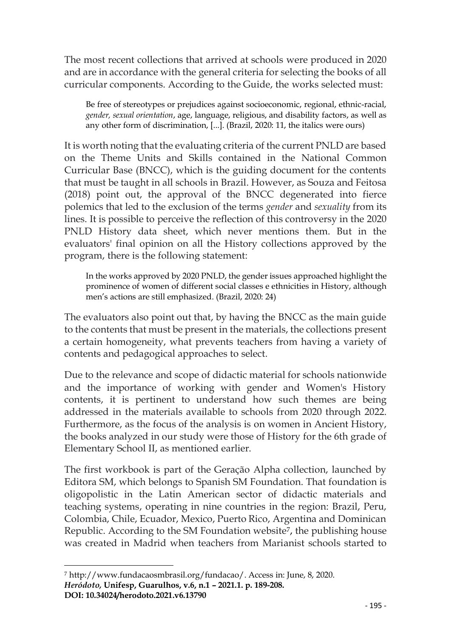The most recent collections that arrived at schools were produced in 2020 and are in accordance with the general criteria for selecting the books of all curricular components. According to the Guide, the works selected must:

Be free of stereotypes or prejudices against socioeconomic, regional, ethnic-racial, *gender, sexual orientation*, age, language, religious, and disability factors, as well as any other form of discrimination, [...]. (Brazil, 2020: 11, the italics were ours)

It is worth noting that the evaluating criteria of the current PNLD are based on the Theme Units and Skills contained in the National Common Curricular Base (BNCC), which is the guiding document for the contents that must be taught in all schools in Brazil. However, as Souza and Feitosa (2018) point out, the approval of the BNCC degenerated into fierce polemics that led to the exclusion of the terms *gender* and *sexuality* from its lines. It is possible to perceive the reflection of this controversy in the 2020 PNLD History data sheet, which never mentions them. But in the evaluators' final opinion on all the History collections approved by the program, there is the following statement:

In the works approved by 2020 PNLD, the gender issues approached highlight the prominence of women of different social classes e ethnicities in History, although men's actions are still emphasized. (Brazil, 2020: 24)

The evaluators also point out that, by having the BNCC as the main guide to the contents that must be present in the materials, the collections present a certain homogeneity, what prevents teachers from having a variety of contents and pedagogical approaches to select.

Due to the relevance and scope of didactic material for schools nationwide and the importance of working with gender and Women's History contents, it is pertinent to understand how such themes are being addressed in the materials available to schools from 2020 through 2022. Furthermore, as the focus of the analysis is on women in Ancient History, the books analyzed in our study were those of History for the 6th grade of Elementary School II, as mentioned earlier.

The first workbook is part of the Geração Alpha collection, launched by Editora SM, which belongs to Spanish SM Foundation. That foundation is oligopolistic in the Latin American sector of didactic materials and teaching systems, operating in nine countries in the region: Brazil, Peru, Colombia, Chile, Ecuador, Mexico, Puerto Rico, Argentina and Dominican Republic. According to the SM Foundation website<sup>7</sup>, the publishing house was created in Madrid when teachers from Marianist schools started to

**DOI: 10.34024/herodoto.2021.v6.13790**

*Heródoto,* **Unifesp, Guarulhos, v.6, n.1 – 2021.1. p. 189-208.** <sup>7</sup> [http://www.fundacaosmbrasil.org/fundacao/.](http://www.fundacaosmbrasil.org/fundacao/) Access in: June, 8, 2020.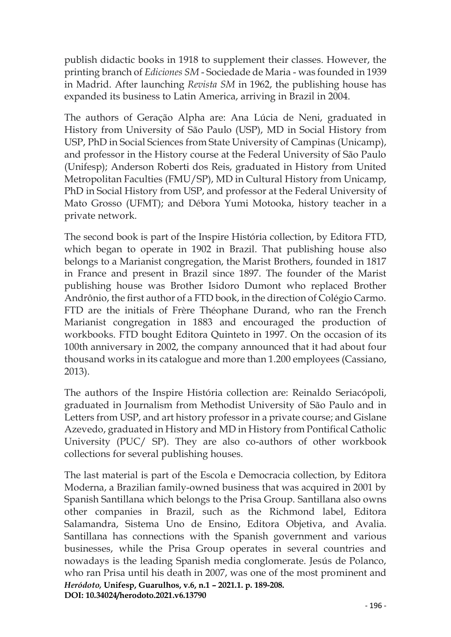publish didactic books in 1918 to supplement their classes. However, the printing branch of *Ediciones SM* - Sociedade de Maria - was founded in 1939 in Madrid. After launching *Revista SM* in 1962, the publishing house has expanded its business to Latin America, arriving in Brazil in 2004.

The authors of Geração Alpha are: Ana Lúcia de Neni, graduated in History from University of São Paulo (USP), MD in Social History from USP, PhD in Social Sciences from State University of Campinas (Unicamp), and professor in the History course at the Federal University of São Paulo (Unifesp); Anderson Roberti dos Reis, graduated in History from United Metropolitan Faculties (FMU/SP), MD in Cultural History from Unicamp, PhD in Social History from USP, and professor at the Federal University of Mato Grosso (UFMT); and Débora Yumi Motooka, history teacher in a private network.

The second book is part of the Inspire História collection, by Editora FTD, which began to operate in 1902 in Brazil. That publishing house also belongs to a Marianist congregation, the Marist Brothers, founded in 1817 in France and present in Brazil since 1897. The founder of the Marist publishing house was Brother Isidoro Dumont who replaced Brother Andrônio, the first author of a FTD book, in the direction of Colégio Carmo. FTD are the initials of Frère Théophane Durand, who ran the French Marianist congregation in 1883 and encouraged the production of workbooks. FTD bought Editora Quinteto in 1997. On the occasion of its 100th anniversary in 2002, the company announced that it had about four thousand works in its catalogue and more than 1.200 employees (Cassiano, 2013).

The authors of the Inspire História collection are: Reinaldo Seriacópoli, graduated in Journalism from Methodist University of São Paulo and in Letters from USP, and art history professor in a private course; and Gislane Azevedo, graduated in History and MD in History from Pontifical Catholic University (PUC/ SP). They are also co-authors of other workbook collections for several publishing houses.

*Heródoto,* **Unifesp, Guarulhos, v.6, n.1 – 2021.1. p. 189-208. DOI: 10.34024/herodoto.2021.v6.13790** The last material is part of the Escola e Democracia collection, by Editora Moderna, a Brazilian family-owned business that was acquired in 2001 by Spanish Santillana which belongs to the Prisa Group. Santillana also owns other companies in Brazil, such as the Richmond label, Editora Salamandra, Sistema Uno de Ensino, Editora Objetiva, and Avalia. Santillana has connections with the Spanish government and various businesses, while the Prisa Group operates in several countries and nowadays is the leading Spanish media conglomerate. Jesús de Polanco, who ran Prisa until his death in 2007, was one of the most prominent and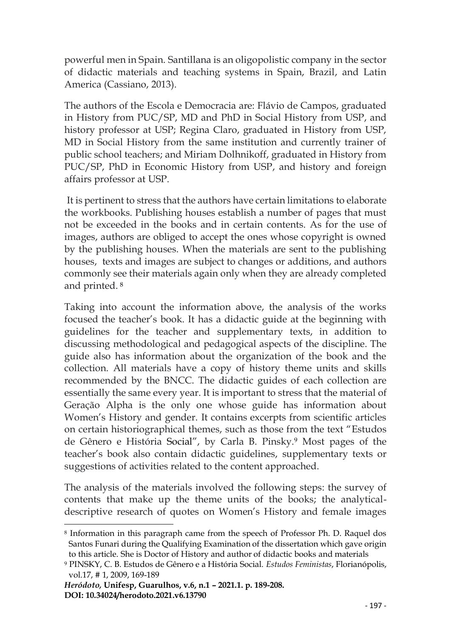powerful men in Spain. Santillana is an oligopolistic company in the sector of didactic materials and teaching systems in Spain, Brazil, and Latin America (Cassiano, 2013).

The authors of the Escola e Democracia are: Flávio de Campos, graduated in History from PUC/SP, MD and PhD in Social History from USP, and history professor at USP; Regina Claro, graduated in History from USP, MD in Social History from the same institution and currently trainer of public school teachers; and Miriam Dolhnikoff, graduated in History from PUC/SP, PhD in Economic History from USP, and history and foreign affairs professor at USP.

It is pertinent to stress that the authors have certain limitations to elaborate the workbooks. Publishing houses establish a number of pages that must not be exceeded in the books and in certain contents. As for the use of images, authors are obliged to accept the ones whose copyright is owned by the publishing houses. When the materials are sent to the publishing houses, texts and images are subject to changes or additions, and authors commonly see their materials again only when they are already completed and printed. <sup>8</sup>

Taking into account the information above, the analysis of the works focused the teacher's book. It has a didactic guide at the beginning with guidelines for the teacher and supplementary texts, in addition to discussing methodological and pedagogical aspects of the discipline. The guide also has information about the organization of the book and the collection. All materials have a copy of history theme units and skills recommended by the BNCC. The didactic guides of each collection are essentially the same every year. It is important to stress that the material of Geração Alpha is the only one whose guide has information about Women's History and gender. It contains excerpts from scientific articles on certain historiographical themes, such as those from the text "Estudos de Gênero e História Social", by Carla B. Pinsky.<sup>9</sup> Most pages of the teacher's book also contain didactic guidelines, supplementary texts or suggestions of activities related to the content approached.

The analysis of the materials involved the following steps: the survey of contents that make up the theme units of the books; the analyticaldescriptive research of quotes on Women's History and female images

<sup>8</sup> Information in this paragraph came from the speech of Professor Ph. D. Raquel dos Santos Funari during the Qualifying Examination of the dissertation which gave origin to this article. She is Doctor of History and author of didactic books and materials

<sup>9</sup> PINSKY, C. B. Estudos de Gênero e a História Social. *Estudos Feministas*, Florianópolis, vol.17, # 1, 2009, 169-189

*Heródoto,* **Unifesp, Guarulhos, v.6, n.1 – 2021.1. p. 189-208. DOI: 10.34024/herodoto.2021.v6.13790**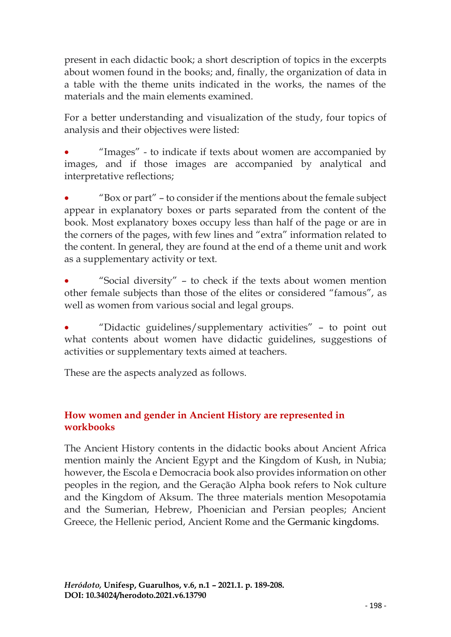present in each didactic book; a short description of topics in the excerpts about women found in the books; and, finally, the organization of data in a table with the theme units indicated in the works, the names of the materials and the main elements examined.

For a better understanding and visualization of the study, four topics of analysis and their objectives were listed:

• "Images" - to indicate if texts about women are accompanied by images, and if those images are accompanied by analytical and interpretative reflections;

• "Box or part" – to consider if the mentions about the female subject appear in explanatory boxes or parts separated from the content of the book. Most explanatory boxes occupy less than half of the page or are in the corners of the pages, with few lines and "extra" information related to the content. In general, they are found at the end of a theme unit and work as a supplementary activity or text.

• "Social diversity" – to check if the texts about women mention other female subjects than those of the elites or considered "famous", as well as women from various social and legal groups.

• "Didactic guidelines/supplementary activities" – to point out what contents about women have didactic guidelines, suggestions of activities or supplementary texts aimed at teachers.

These are the aspects analyzed as follows.

## **How women and gender in Ancient History are represented in workbooks**

The Ancient History contents in the didactic books about Ancient Africa mention mainly the Ancient Egypt and the Kingdom of Kush, in Nubia; however, the Escola e Democracia book also provides information on other peoples in the region, and the Geração Alpha book refers to Nok culture and the Kingdom of Aksum. The three materials mention Mesopotamia and the Sumerian, Hebrew, Phoenician and Persian peoples; Ancient Greece, the Hellenic period, Ancient Rome and the Germanic kingdoms.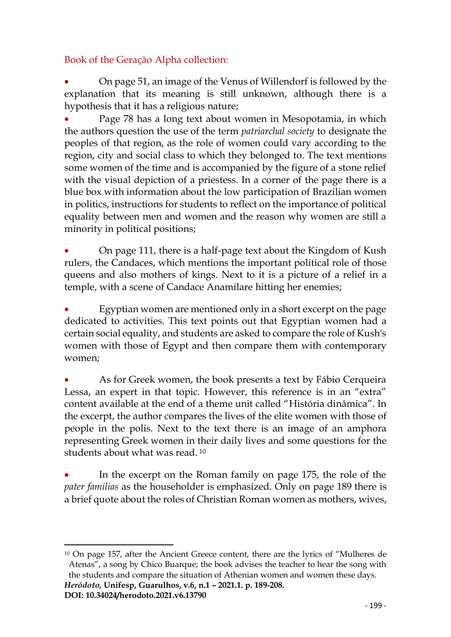## Book of the Geração Alpha collection:

• On page 51, an image of the Venus of Willendorf is followed by the explanation that its meaning is still unknown, although there is a hypothesis that it has a religious nature;

Page 78 has a long text about women in Mesopotamia, in which the authors question the use of the term *patriarchal society* to designate the peoples of that region, as the role of women could vary according to the region, city and social class to which they belonged to. The text mentions some women of the time and is accompanied by the figure of a stone relief with the visual depiction of a priestess. In a corner of the page there is a blue box with information about the low participation of Brazilian women in politics, instructions for students to reflect on the importance of political equality between men and women and the reason why women are still a minority in political positions;

• On page 111, there is a half-page text about the Kingdom of Kush rulers, the Candaces, which mentions the important political role of those queens and also mothers of kings. Next to it is a picture of a relief in a temple, with a scene of Candace Anamilare hitting her enemies;

• Egyptian women are mentioned only in a short excerpt on the page dedicated to activities. This text points out that Egyptian women had a certain social equality, and students are asked to compare the role of Kush's women with those of Egypt and then compare them with contemporary women;

• As for Greek women, the book presents a text by Fábio Cerqueira Lessa, an expert in that topic. However, this reference is in an "extra" content available at the end of a theme unit called "História dinâmica". In the excerpt, the author compares the lives of the elite women with those of people in the polis. Next to the text there is an image of an amphora representing Greek women in their daily lives and some questions for the students about what was read. <sup>10</sup>

In the excerpt on the Roman family on page 175, the role of the *pater familias* as the householder is emphasized. Only on page 189 there is a brief quote about the roles of Christian Roman women as mothers, wives,

<sup>10</sup> On page 157, after the Ancient Greece content, there are the lyrics of "Mulheres de Atenas", a song by Chico Buarque; the book advises the teacher to hear the song with the students and compare the situation of Athenian women and women these days.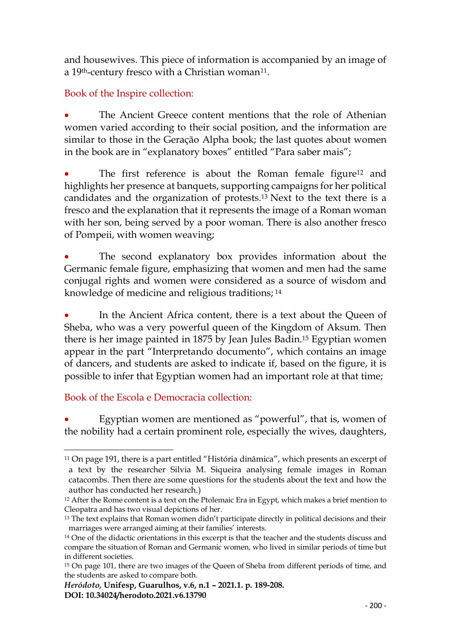and housewives. This piece of information is accompanied by an image of a  $19<sup>th</sup>$ -century fresco with a Christian woman<sup>11</sup>.

# Book of the Inspire collection:

The Ancient Greece content mentions that the role of Athenian women varied according to their social position, and the information are similar to those in the Geração Alpha book; the last quotes about women in the book are in "explanatory boxes" entitled "Para saber mais";

The first reference is about the Roman female figure<sup>12</sup> and highlights her presence at banquets, supporting campaigns for her political candidates and the organization of protests. <sup>13</sup> Next to the text there is a fresco and the explanation that it represents the image of a Roman woman with her son, being served by a poor woman. There is also another fresco of Pompeii, with women weaving;

The second explanatory box provides information about the Germanic female figure, emphasizing that women and men had the same conjugal rights and women were considered as a source of wisdom and knowledge of medicine and religious traditions; <sup>14</sup>

In the Ancient Africa content, there is a text about the Queen of Sheba, who was a very powerful queen of the Kingdom of Aksum. Then there is her image painted in 1875 by Jean Jules Badin.<sup>15</sup> Egyptian women appear in the part "Interpretando documento", which contains an image of dancers, and students are asked to indicate if, based on the figure, it is possible to infer that Egyptian women had an important role at that time;

# Book of the Escola e Democracia collection:

Egyptian women are mentioned as "powerful", that is, women of the nobility had a certain prominent role, especially the wives, daughters,

<sup>11</sup> On page 191, there is a part entitled "História dinâmica", which presents an excerpt of a text by the researcher Silvia M. Siqueira analysing female images in Roman catacombs. Then there are some questions for the students about the text and how the author has conducted her research.)

<sup>&</sup>lt;sup>12</sup> After the Rome content is a text on the Ptolemaic Era in Egypt, which makes a brief mention to Cleopatra and has two visual depictions of her.

<sup>&</sup>lt;sup>13</sup> The text explains that Roman women didn't participate directly in political decisions and their marriages were arranged aiming at their families' interests.

<sup>&</sup>lt;sup>14</sup> One of the didactic orientations in this excerpt is that the teacher and the students discuss and compare the situation of Roman and Germanic women, who lived in similar periods of time but in different societies.

<sup>&</sup>lt;sup>15</sup> On page 101, there are two images of the Queen of Sheba from different periods of time, and the students are asked to compare both.

*Heródoto,* **Unifesp, Guarulhos, v.6, n.1 – 2021.1. p. 189-208. DOI: 10.34024/herodoto.2021.v6.13790**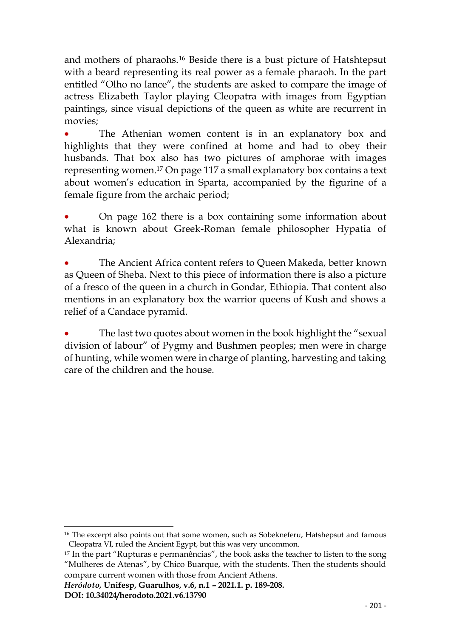and mothers of pharaohs.<sup>16</sup> Beside there is a bust picture of Hatshtepsut with a beard representing its real power as a female pharaoh. In the part entitled "Olho no lance", the students are asked to compare the image of actress Elizabeth Taylor playing Cleopatra with images from Egyptian paintings, since visual depictions of the queen as white are recurrent in movies;

The Athenian women content is in an explanatory box and highlights that they were confined at home and had to obey their husbands. That box also has two pictures of amphorae with images representing women.<sup>17</sup> On page 117 a small explanatory box contains a text about women's education in Sparta, accompanied by the figurine of a female figure from the archaic period;

• On page 162 there is a box containing some information about what is known about Greek-Roman female philosopher Hypatia of Alexandria;

• The Ancient Africa content refers to Queen Makeda, better known as Queen of Sheba. Next to this piece of information there is also a picture of a fresco of the queen in a church in Gondar, Ethiopia. That content also mentions in an explanatory box the warrior queens of Kush and shows a relief of a Candace pyramid.

The last two quotes about women in the book highlight the "sexual division of labour" of Pygmy and Bushmen peoples; men were in charge of hunting, while women were in charge of planting, harvesting and taking care of the children and the house.

<sup>&</sup>lt;sup>16</sup> The excerpt also points out that some women, such as Sobekneferu, Hatshepsut and famous Cleopatra VI, ruled the Ancient Egypt, but this was very uncommon.

<sup>17</sup> In the part "Rupturas e permanências", the book asks the teacher to listen to the song "Mulheres de Atenas", by Chico Buarque, with the students. Then the students should compare current women with those from Ancient Athens.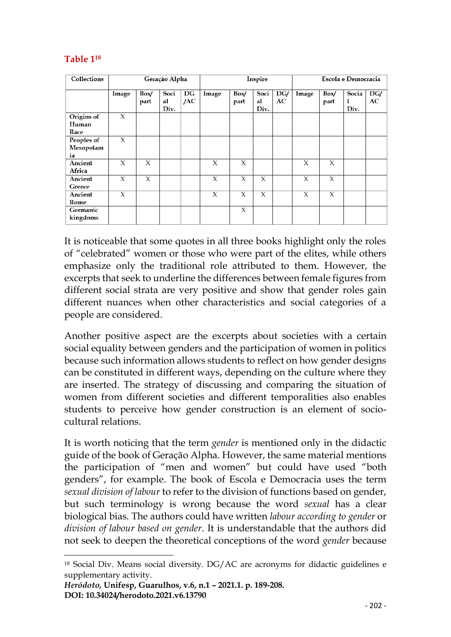## **Table 1<sup>18</sup>**

| <b>Collections</b> | Geração Alpha |              |                    |           | Inspire |              |                    |           | <b>Escola e Democracia</b> |              |                    |           |
|--------------------|---------------|--------------|--------------------|-----------|---------|--------------|--------------------|-----------|----------------------------|--------------|--------------------|-----------|
|                    | Image         | Box/<br>part | Soci<br>al<br>Div. | DG<br>/AC | Image   | Box/<br>part | Soci<br>al<br>Div. | DG/<br>AC | Image                      | Box/<br>part | Socia<br>1<br>Div. | DG/<br>AC |
| Origins of         | X             |              |                    |           |         |              |                    |           |                            |              |                    |           |
| Human<br>Race      |               |              |                    |           |         |              |                    |           |                            |              |                    |           |
| Peoples of         | X             |              |                    |           |         |              |                    |           |                            |              |                    |           |
| Mesopotam          |               |              |                    |           |         |              |                    |           |                            |              |                    |           |
| ia                 |               |              |                    |           |         |              |                    |           |                            |              |                    |           |
| Ancient            | X             | X            |                    |           | X       | X            |                    |           | X                          | X            |                    |           |
| Africa             |               |              |                    |           |         |              |                    |           |                            |              |                    |           |
| Ancient            | X             | X            |                    |           | X       | X            | X                  |           | X                          | X            |                    |           |
| Greece             |               |              |                    |           |         |              |                    |           |                            |              |                    |           |
| Ancient            | X             |              |                    |           | X       | X            | X                  |           | X                          | X            |                    |           |
| Rome               |               |              |                    |           |         |              |                    |           |                            |              |                    |           |
| Germanic           |               |              |                    |           |         | X            |                    |           |                            |              |                    |           |
| kingdoms           |               |              |                    |           |         |              |                    |           |                            |              |                    |           |

It is noticeable that some quotes in all three books highlight only the roles of "celebrated" women or those who were part of the elites, while others emphasize only the traditional role attributed to them. However, the excerpts that seek to underline the differences between female figures from different social strata are very positive and show that gender roles gain different nuances when other characteristics and social categories of a people are considered.

Another positive aspect are the excerpts about societies with a certain social equality between genders and the participation of women in politics because such information allows students to reflect on how gender designs can be constituted in different ways, depending on the culture where they are inserted. The strategy of discussing and comparing the situation of women from different societies and different temporalities also enables students to perceive how gender construction is an element of sociocultural relations.

It is worth noticing that the term *gender* is mentioned only in the didactic guide of the book of Geração Alpha. However, the same material mentions the participation of "men and women" but could have used "both genders", for example. The book of Escola e Democracia uses the term *sexual division of labour* to refer to the division of functions based on gender, but such terminology is wrong because the word *sexual* has a clear biological bias. The authors could have written *labour according to gender* or *division of labour based on gender*. It is understandable that the authors did not seek to deepen the theoretical conceptions of the word *gender* because

<sup>18</sup> Social Div. Means social diversity. DG/AC are acronyms for didactic guidelines e supplementary activity.

*Heródoto,* **Unifesp, Guarulhos, v.6, n.1 – 2021.1. p. 189-208. DOI: 10.34024/herodoto.2021.v6.13790**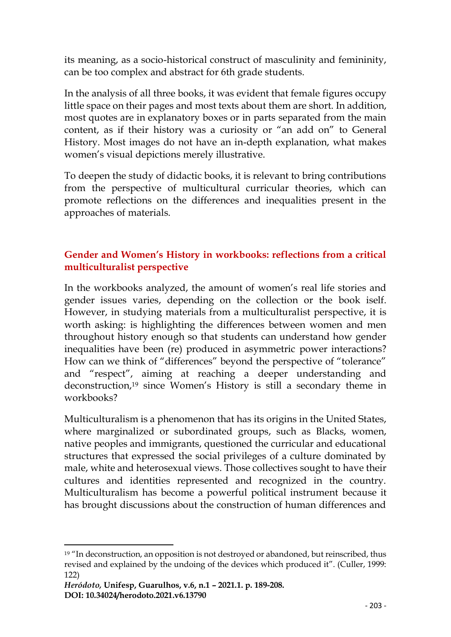its meaning, as a socio-historical construct of masculinity and femininity, can be too complex and abstract for 6th grade students.

In the analysis of all three books, it was evident that female figures occupy little space on their pages and most texts about them are short. In addition, most quotes are in explanatory boxes or in parts separated from the main content, as if their history was a curiosity or "an add on" to General History. Most images do not have an in-depth explanation, what makes women's visual depictions merely illustrative.

To deepen the study of didactic books, it is relevant to bring contributions from the perspective of multicultural curricular theories, which can promote reflections on the differences and inequalities present in the approaches of materials.

## **Gender and Women's History in workbooks: reflections from a critical multiculturalist perspective**

In the workbooks analyzed, the amount of women's real life stories and gender issues varies, depending on the collection or the book iself. However, in studying materials from a multiculturalist perspective, it is worth asking: is highlighting the differences between women and men throughout history enough so that students can understand how gender inequalities have been (re) produced in asymmetric power interactions? How can we think of "differences" beyond the perspective of "tolerance" and "respect", aiming at reaching a deeper understanding and deconstruction,<sup>19</sup> since Women's History is still a secondary theme in workbooks?

Multiculturalism is a phenomenon that has its origins in the United States, where marginalized or subordinated groups, such as Blacks, women, native peoples and immigrants, questioned the curricular and educational structures that expressed the social privileges of a culture dominated by male, white and heterosexual views. Those collectives sought to have their cultures and identities represented and recognized in the country. Multiculturalism has become a powerful political instrument because it has brought discussions about the construction of human differences and

<sup>&</sup>lt;sup>19</sup> "In deconstruction, an opposition is not destroyed or abandoned, but reinscribed, thus revised and explained by the undoing of the devices which produced it". (Culler, 1999: 122)

*Heródoto,* **Unifesp, Guarulhos, v.6, n.1 – 2021.1. p. 189-208. DOI: 10.34024/herodoto.2021.v6.13790**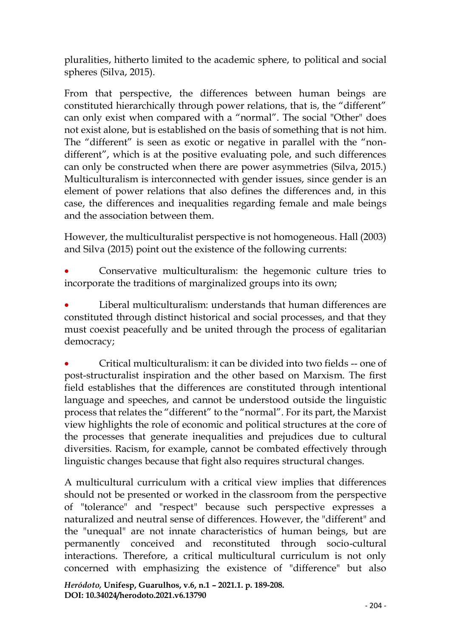pluralities, hitherto limited to the academic sphere, to political and social spheres (Silva, 2015).

From that perspective, the differences between human beings are constituted hierarchically through power relations, that is, the "different" can only exist when compared with a "normal". The social "Other" does not exist alone, but is established on the basis of something that is not him. The "different" is seen as exotic or negative in parallel with the "nondifferent", which is at the positive evaluating pole, and such differences can only be constructed when there are power asymmetries (Silva, 2015.) Multiculturalism is interconnected with gender issues, since gender is an element of power relations that also defines the differences and, in this case, the differences and inequalities regarding female and male beings and the association between them.

However, the multiculturalist perspective is not homogeneous. Hall (2003) and Silva (2015) point out the existence of the following currents:

• Conservative multiculturalism: the hegemonic culture tries to incorporate the traditions of marginalized groups into its own;

Liberal multiculturalism: understands that human differences are constituted through distinct historical and social processes, and that they must coexist peacefully and be united through the process of egalitarian democracy;

• Critical multiculturalism: it can be divided into two fields -- one of post-structuralist inspiration and the other based on Marxism. The first field establishes that the differences are constituted through intentional language and speeches, and cannot be understood outside the linguistic process that relates the "different" to the "normal". For its part, the Marxist view highlights the role of economic and political structures at the core of the processes that generate inequalities and prejudices due to cultural diversities. Racism, for example, cannot be combated effectively through linguistic changes because that fight also requires structural changes.

A multicultural curriculum with a critical view implies that differences should not be presented or worked in the classroom from the perspective of "tolerance" and "respect" because such perspective expresses a naturalized and neutral sense of differences. However, the "different" and the "unequal" are not innate characteristics of human beings, but are permanently conceived and reconstituted through socio-cultural interactions. Therefore, a critical multicultural curriculum is not only concerned with emphasizing the existence of "difference" but also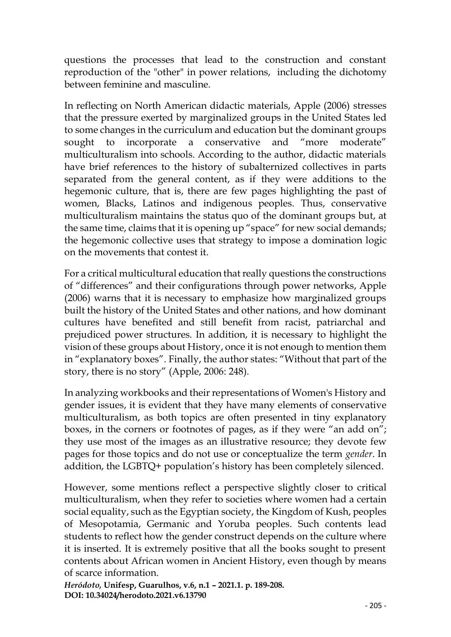questions the processes that lead to the construction and constant reproduction of the "other" in power relations, including the dichotomy between feminine and masculine.

In reflecting on North American didactic materials, Apple (2006) stresses that the pressure exerted by marginalized groups in the United States led to some changes in the curriculum and education but the dominant groups sought to incorporate a conservative and "more moderate" multiculturalism into schools. According to the author, didactic materials have brief references to the history of subalternized collectives in parts separated from the general content, as if they were additions to the hegemonic culture, that is, there are few pages highlighting the past of women, Blacks, Latinos and indigenous peoples. Thus, conservative multiculturalism maintains the status quo of the dominant groups but, at the same time, claims that it is opening up "space" for new social demands; the hegemonic collective uses that strategy to impose a domination logic on the movements that contest it.

For a critical multicultural education that really questions the constructions of "differences" and their configurations through power networks, Apple (2006) warns that it is necessary to emphasize how marginalized groups built the history of the United States and other nations, and how dominant cultures have benefited and still benefit from racist, patriarchal and prejudiced power structures. In addition, it is necessary to highlight the vision of these groups about History, once it is not enough to mention them in "explanatory boxes". Finally, the author states: "Without that part of the story, there is no story" (Apple, 2006: 248).

In analyzing workbooks and their representations of Women's History and gender issues, it is evident that they have many elements of conservative multiculturalism, as both topics are often presented in tiny explanatory boxes, in the corners or footnotes of pages, as if they were "an add on"; they use most of the images as an illustrative resource; they devote few pages for those topics and do not use or conceptualize the term *gender*. In addition, the LGBTQ+ population's history has been completely silenced.

However, some mentions reflect a perspective slightly closer to critical multiculturalism, when they refer to societies where women had a certain social equality, such as the Egyptian society, the Kingdom of Kush, peoples of Mesopotamia, Germanic and Yoruba peoples. Such contents lead students to reflect how the gender construct depends on the culture where it is inserted. It is extremely positive that all the books sought to present contents about African women in Ancient History, even though by means of scarce information.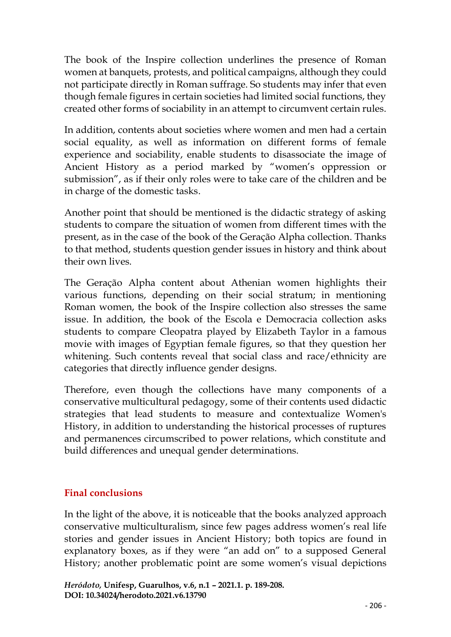The book of the Inspire collection underlines the presence of Roman women at banquets, protests, and political campaigns, although they could not participate directly in Roman suffrage. So students may infer that even though female figures in certain societies had limited social functions, they created other forms of sociability in an attempt to circumvent certain rules.

In addition, contents about societies where women and men had a certain social equality, as well as information on different forms of female experience and sociability, enable students to disassociate the image of Ancient History as a period marked by "women's oppression or submission", as if their only roles were to take care of the children and be in charge of the domestic tasks.

Another point that should be mentioned is the didactic strategy of asking students to compare the situation of women from different times with the present, as in the case of the book of the Geração Alpha collection. Thanks to that method, students question gender issues in history and think about their own lives.

The Geração Alpha content about Athenian women highlights their various functions, depending on their social stratum; in mentioning Roman women, the book of the Inspire collection also stresses the same issue. In addition, the book of the Escola e Democracia collection asks students to compare Cleopatra played by Elizabeth Taylor in a famous movie with images of Egyptian female figures, so that they question her whitening. Such contents reveal that social class and race/ethnicity are categories that directly influence gender designs.

Therefore, even though the collections have many components of a conservative multicultural pedagogy, some of their contents used didactic strategies that lead students to measure and contextualize Women's History, in addition to understanding the historical processes of ruptures and permanences circumscribed to power relations, which constitute and build differences and unequal gender determinations.

# **Final conclusions**

In the light of the above, it is noticeable that the books analyzed approach conservative multiculturalism, since few pages address women's real life stories and gender issues in Ancient History; both topics are found in explanatory boxes, as if they were "an add on" to a supposed General History; another problematic point are some women's visual depictions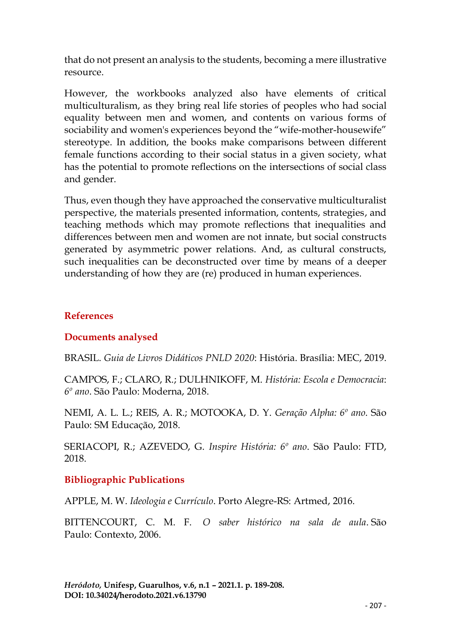that do not present an analysis to the students, becoming a mere illustrative resource.

However, the workbooks analyzed also have elements of critical multiculturalism, as they bring real life stories of peoples who had social equality between men and women, and contents on various forms of sociability and women's experiences beyond the "wife-mother-housewife" stereotype. In addition, the books make comparisons between different female functions according to their social status in a given society, what has the potential to promote reflections on the intersections of social class and gender.

Thus, even though they have approached the conservative multiculturalist perspective, the materials presented information, contents, strategies, and teaching methods which may promote reflections that inequalities and differences between men and women are not innate, but social constructs generated by asymmetric power relations. And, as cultural constructs, such inequalities can be deconstructed over time by means of a deeper understanding of how they are (re) produced in human experiences.

## **References**

## **Documents analysed**

BRASIL. *Guia de Livros Didáticos PNLD 2020*: História. Brasília: MEC, 2019.

CAMPOS, F.; CLARO, R.; DULHNIKOFF, M. *História: Escola e Democracia*: *6º ano*. São Paulo: Moderna, 2018.

NEMI, A. L. L.; REIS, A. R.; MOTOOKA, D. Y. *Geração Alpha: 6º ano*. São Paulo: SM Educação, 2018.

SERIACOPI, R.; AZEVEDO, G. *Inspire História: 6º ano*. São Paulo: FTD, 2018.

### **Bibliographic Publications**

APPLE, M. W. *Ideologia e Currículo*. Porto Alegre-RS: Artmed, 2016.

BITTENCOURT, C. M. F. *O saber histórico na sala de aula*. São Paulo: Contexto, 2006.